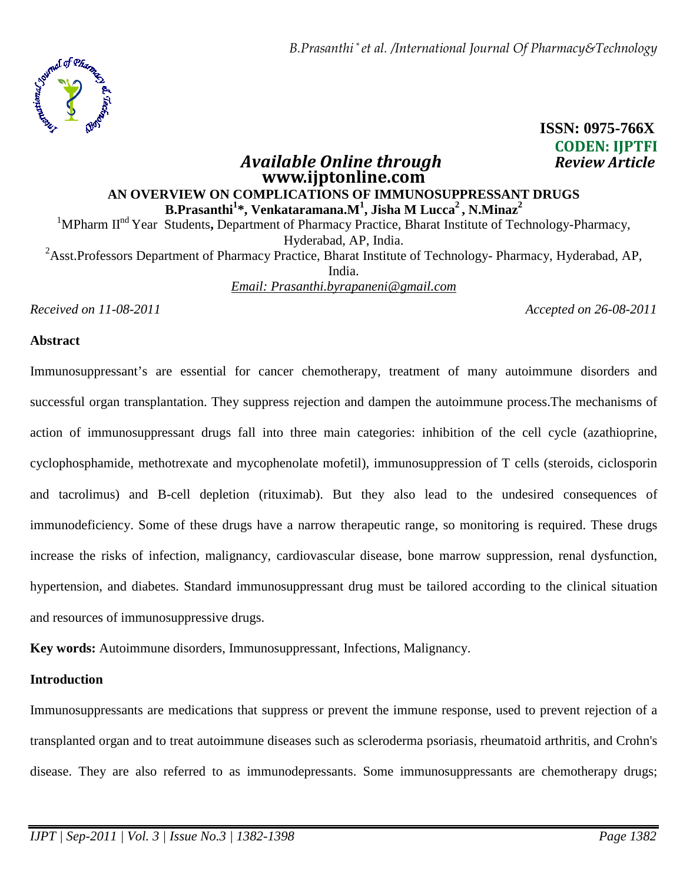

# **ISSN: 0975-766X CODEN: IJPTFI**

# **www.ijptonline.com AN OVERVIEW ON COMPLICATIONS OF IMMUNOSUPPRESSANT DRUGS B.Prasanthi<sup>1</sup> \*, Venkataramana.M<sup>1</sup> , Jisha M Lucca<sup>2</sup>, N.Minaz<sup>2</sup>**

*Available Online through* 

<sup>1</sup>MPharm II<sup>nd</sup> Year Students, Department of Pharmacy Practice, Bharat Institute of Technology-Pharmacy, Hyderabad, AP, India.

<sup>2</sup>Asst.Professors Department of Pharmacy Practice, Bharat Institute of Technology- Pharmacy, Hyderabad, AP, India.

*Email: Prasanthi.byrapaneni@gmail.com*

*Received on 11-08-2011 Accepted on 26-08-2011*

## **Abstract**

Immunosuppressant's are essential for cancer chemotherapy, treatment of many autoimmune disorders and successful organ transplantation. They suppress rejection and dampen the autoimmune process.The mechanisms of action of immunosuppressant drugs fall into three main categories: inhibition of the cell cycle (azathioprine, cyclophosphamide, methotrexate and mycophenolate mofetil), immunosuppression of T cells (steroids, ciclosporin and tacrolimus) and B-cell depletion (rituximab). But they also lead to the undesired consequences of immunodeficiency. Some of these drugs have a narrow therapeutic range, so monitoring is required. These drugs increase the risks of infection, malignancy, cardiovascular disease, bone marrow suppression, renal dysfunction, hypertension, and diabetes. Standard immunosuppressant drug must be tailored according to the clinical situation and resources of immunosuppressive drugs.

**Key words:** Autoimmune disorders, Immunosuppressant, Infections, Malignancy.

# **Introduction**

Immunosuppressants are medications that suppress or prevent the immune response, used to prevent rejection of a transplanted organ and to treat autoimmune diseases such as scleroderma psoriasis, rheumatoid arthritis, and Crohn's disease. They are also referred to as immunodepressants. Some immunosuppressants are chemotherapy drugs;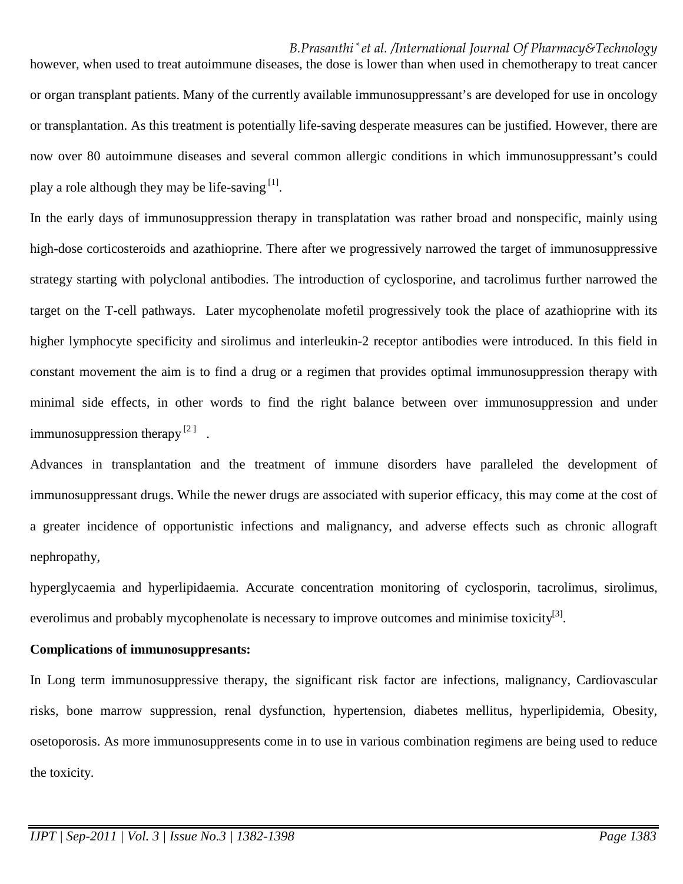*B.Prasanthi \* et al. /International Journal Of Pharmacy&Technology* however, when used to treat autoimmune diseases, the dose is lower than when used in chemotherapy to treat cancer or organ transplant patients. Many of the currently available immunosuppressant's are developed for use in oncology or transplantation. As this treatment is potentially life-saving desperate measures can be justified. However, there are now over 80 autoimmune diseases and several common allergic conditions in which immunosuppressant's could play a role although they may be life-saving  $[1]$ .

In the early days of immunosuppression therapy in transplatation was rather broad and nonspecific, mainly using high-dose corticosteroids and azathioprine. There after we progressively narrowed the target of immunosuppressive strategy starting with polyclonal antibodies. The introduction of cyclosporine, and tacrolimus further narrowed the target on the T-cell pathways. Later mycophenolate mofetil progressively took the place of azathioprine with its higher lymphocyte specificity and sirolimus and interleukin-2 receptor antibodies were introduced. In this field in constant movement the aim is to find a drug or a regimen that provides optimal immunosuppression therapy with minimal side effects, in other words to find the right balance between over immunosuppression and under immunosuppression therapy  $[2]$ .

Advances in transplantation and the treatment of immune disorders have paralleled the development of immunosuppressant drugs. While the newer drugs are associated with superior efficacy, this may come at the cost of a greater incidence of opportunistic infections and malignancy, and adverse effects such as chronic allograft nephropathy,

hyperglycaemia and hyperlipidaemia. Accurate concentration monitoring of cyclosporin, tacrolimus, sirolimus, everolimus and probably mycophenolate is necessary to improve outcomes and minimise toxicity<sup>[3]</sup>.

#### **Complications of immunosuppresants:**

In Long term immunosuppressive therapy, the significant risk factor are infections, malignancy, Cardiovascular risks, bone marrow suppression, renal dysfunction, hypertension, diabetes mellitus, hyperlipidemia, Obesity, osetoporosis. As more immunosuppresents come in to use in various combination regimens are being used to reduce the toxicity.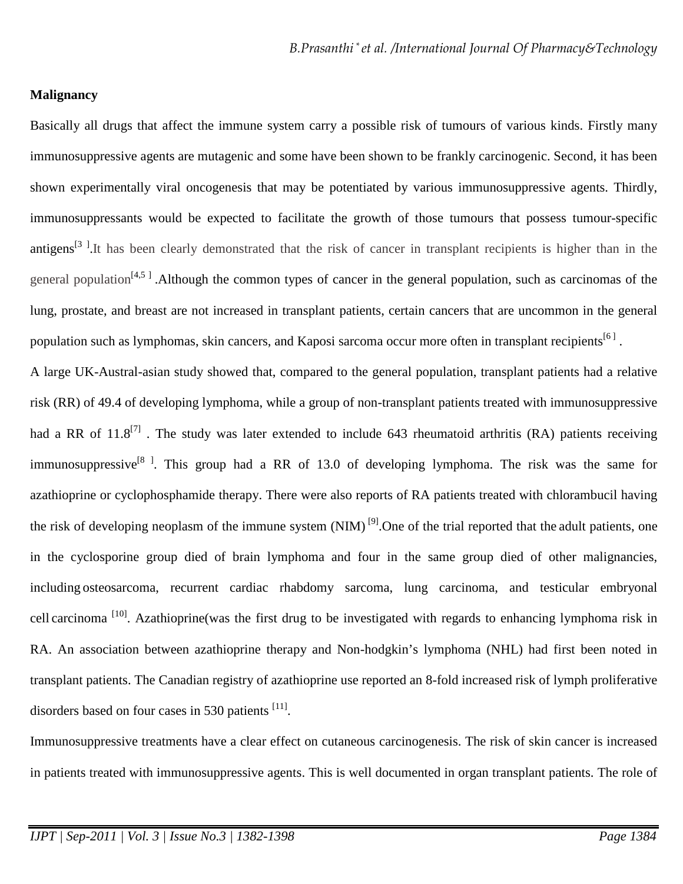#### **Malignancy**

Basically all drugs that affect the immune system carry a possible risk of tumours of various kinds. Firstly many immunosuppressive agents are mutagenic and some have been shown to be frankly carcinogenic. Second, it has been shown experimentally viral oncogenesis that may be potentiated by various immunosuppressive agents. Thirdly, immunosuppressants would be expected to facilitate the growth of those tumours that possess tumour-specific antigens<sup>[3]</sup>. It has been clearly demonstrated that the risk of cancer in transplant recipients is higher than in the general population<sup>[4,5]</sup>. Although the common types of cancer in the general population, such as carcinomas of the lung, prostate, and breast are not increased in transplant patients, certain cancers that are uncommon in the general population such as lymphomas, skin cancers, and Kaposi sarcoma occur more often in transplant recipients<sup>[6]</sup>.

A large UK-Austral-asian study showed that, compared to the general population, transplant patients had a relative risk (RR) of 49.4 of developing lymphoma, while a group of non-transplant patients treated with immunosuppressive had a RR of  $11.8^{[7]}$ . The study was later extended to include 643 rheumatoid arthritis (RA) patients receiving immunosuppressive<sup>[8]</sup>. This group had a RR of 13.0 of developing lymphoma. The risk was the same for azathioprine or cyclophosphamide therapy. There were also reports of RA patients treated with chlorambucil having the risk of developing neoplasm of the immune system  $(NIM)^{9}$ . One of the trial reported that the adult patients, one in the cyclosporine group died of brain lymphoma and four in the same group died of other malignancies, including osteosarcoma, recurrent cardiac rhabdomy sarcoma, lung carcinoma, and testicular embryonal cell carcinoma<sup>[10]</sup>. Azathioprine(was the first drug to be investigated with regards to enhancing lymphoma risk in RA. An association between azathioprine therapy and Non-hodgkin's lymphoma (NHL) had first been noted in transplant patients. The Canadian registry of azathioprine use reported an 8-fold increased risk of lymph proliferative disorders based on four cases in 530 patients  $[11]$ .

Immunosuppressive treatments have a clear effect on cutaneous carcinogenesis. The risk of skin cancer is increased in patients treated with immunosuppressive agents. This is well documented in organ transplant patients. The role of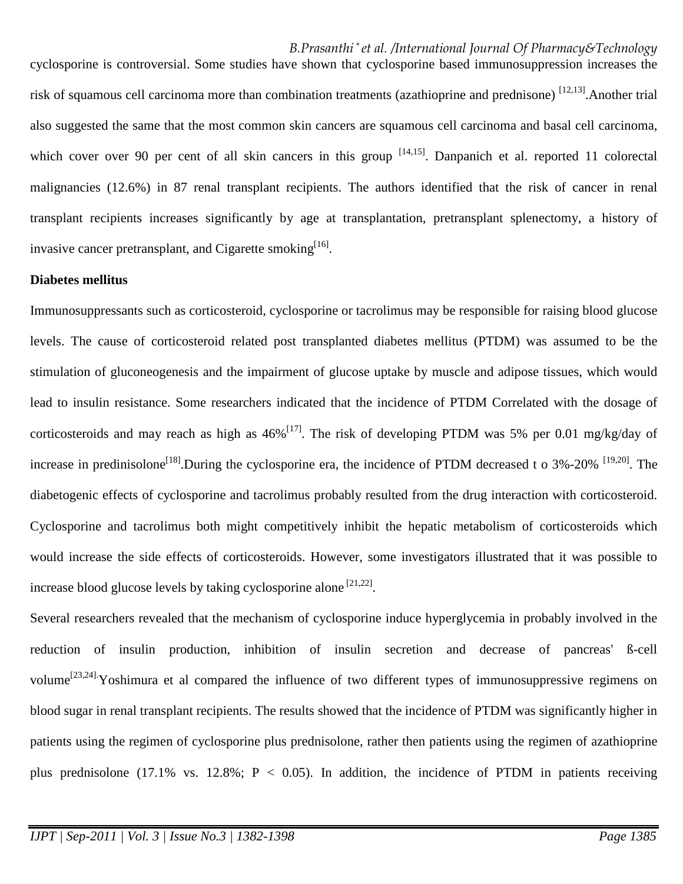*B.Prasanthi \* et al. /International Journal Of Pharmacy&Technology* cyclosporine is controversial. Some studies have shown that cyclosporine based immunosuppression increases the risk of squamous cell carcinoma more than combination treatments (azathioprine and prednisone)  $^{[12,13]}$ . Another trial also suggested the same that the most common skin cancers are squamous cell carcinoma and basal cell carcinoma, which cover over 90 per cent of all skin cancers in this group  $[14,15]$ . Danpanich et al. reported 11 colorectal malignancies (12.6%) in 87 renal transplant recipients. The authors identified that the risk of cancer in renal transplant recipients increases significantly by age at transplantation, pretransplant splenectomy, a history of invasive cancer pretransplant, and Cigarette smoking<sup>[16]</sup>.

#### **Diabetes mellitus**

Immunosuppressants such as corticosteroid, cyclosporine or tacrolimus may be responsible for raising blood glucose levels. The cause of corticosteroid related post transplanted diabetes mellitus (PTDM) was assumed to be the stimulation of gluconeogenesis and the impairment of glucose uptake by muscle and adipose tissues, which would lead to insulin resistance. Some researchers indicated that the incidence of PTDM Correlated with the dosage of corticosteroids and may reach as high as  $46\%$ <sup>[17]</sup>. The risk of developing PTDM was 5% per 0.01 mg/kg/day of increase in predinisolone<sup>[18]</sup>.During the cyclosporine era, the incidence of PTDM decreased t o  $3\%$ -20% <sup>[19,20]</sup>. The diabetogenic effects of cyclosporine and tacrolimus probably resulted from the drug interaction with corticosteroid. Cyclosporine and tacrolimus both might competitively inhibit the hepatic metabolism of corticosteroids which would increase the side effects of corticosteroids. However, some investigators illustrated that it was possible to increase blood glucose levels by taking cyclosporine alone  $[21,22]$ .

Several researchers revealed that the mechanism of cyclosporine induce hyperglycemia in probably involved in the reduction of insulin production, inhibition of insulin secretion and decrease of pancreas' ß-cell volume<sup>[23,24]</sup>.Yoshimura et al compared the influence of two different types of immunosuppressive regimens on blood sugar in renal transplant recipients. The results showed that the incidence of PTDM was significantly higher in patients using the regimen of cyclosporine plus prednisolone, rather then patients using the regimen of azathioprine plus prednisolone (17.1% vs. 12.8%;  $P < 0.05$ ). In addition, the incidence of PTDM in patients receiving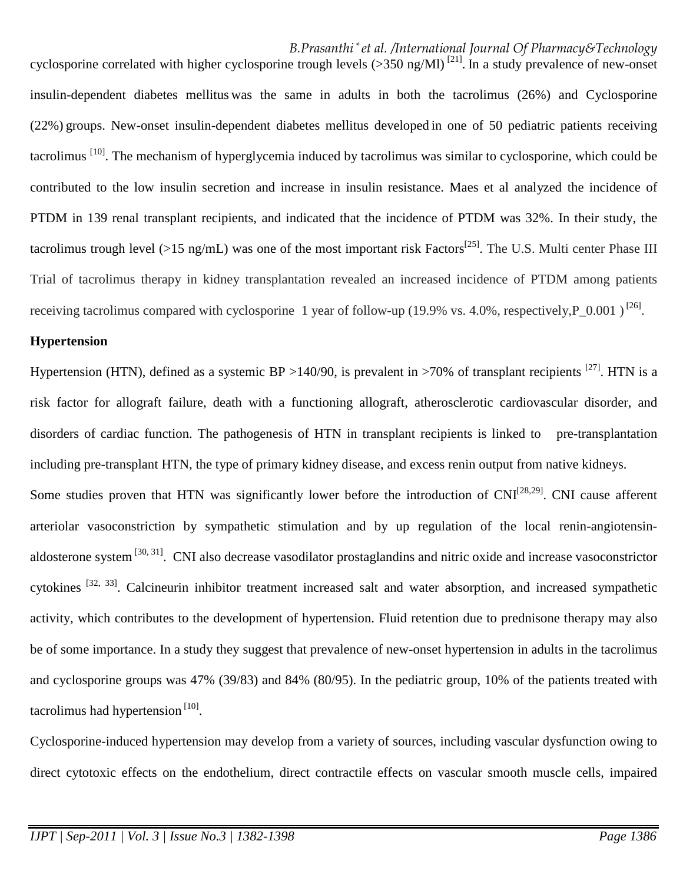#### *B.Prasanthi \* et al. /International Journal Of Pharmacy&Technology*

cyclosporine correlated with higher cyclosporine trough levels  $(>350 \text{ ng/Ml})$ <sup>[21]</sup>. In a study prevalence of new-onset insulin-dependent diabetes mellitus was the same in adults in both the tacrolimus (26%) and Cyclosporine (22%) groups. New-onset insulin-dependent diabetes mellitus developed in one of 50 pediatric patients receiving tacrolimus <sup>[10]</sup>. The mechanism of hyperglycemia induced by tacrolimus was similar to cyclosporine, which could be contributed to the low insulin secretion and increase in insulin resistance. Maes et al analyzed the incidence of PTDM in 139 renal transplant recipients, and indicated that the incidence of PTDM was 32%. In their study, the tacrolimus trough level (>15 ng/mL) was one of the most important risk Factors<sup>[25]</sup>. The U.S. Multi center Phase III Trial of tacrolimus therapy in kidney transplantation revealed an increased incidence of PTDM among patients receiving tacrolimus compared with cyclosporine 1 year of follow-up (19.9% vs. 4.0%, respectively, P\_0.001)<sup>[26]</sup>.

## **Hypertension**

Hypertension (HTN), defined as a systemic BP >140/90, is prevalent in >70% of transplant recipients <sup>[27]</sup>. HTN is a risk factor for allograft failure, death with a functioning allograft, atherosclerotic cardiovascular disorder, and disorders of cardiac function. The pathogenesis of HTN in transplant recipients is linked to pre-transplantation including pre-transplant HTN, the type of primary kidney disease, and excess renin output from native kidneys.

Some studies proven that HTN was significantly lower before the introduction of CNI<sup>[28,29]</sup>. CNI cause afferent arteriolar vasoconstriction by sympathetic stimulation and by up regulation of the local renin-angiotensinaldosterone system <sup>[30, 31]</sup>. CNI also decrease vasodilator prostaglandins and nitric oxide and increase vasoconstrictor cytokines <sup>[32, 33]</sup>. Calcineurin inhibitor treatment increased salt and water absorption, and increased sympathetic activity, which contributes to the development of hypertension. Fluid retention due to prednisone therapy may also be of some importance. In a study they suggest that prevalence of new-onset hypertension in adults in the tacrolimus and cyclosporine groups was 47% (39/83) and 84% (80/95). In the pediatric group, 10% of the patients treated with tacrolimus had hypertension<sup>[10]</sup>.

Cyclosporine-induced hypertension may develop from a variety of sources, including vascular dysfunction owing to direct cytotoxic effects on the endothelium, direct contractile effects on vascular smooth muscle cells, impaired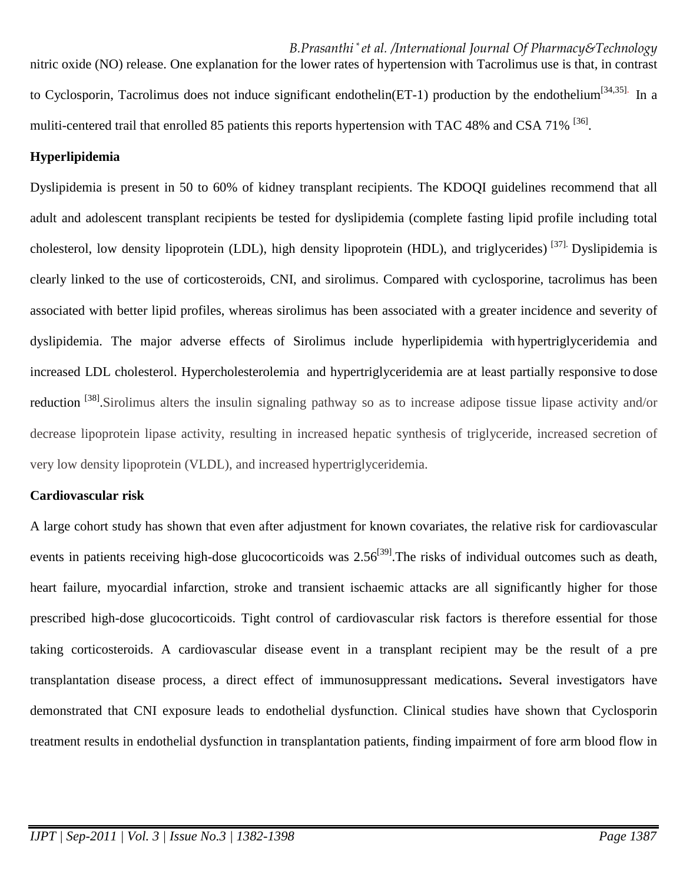*B.Prasanthi \* et al. /International Journal Of Pharmacy&Technology* nitric oxide (NO) release. One explanation for the lower rates of hypertension with Tacrolimus use is that, in contrast to Cyclosporin, Tacrolimus does not induce significant endothelin(ET-1) production by the endothelium<sup>[34,35].</sup> In a muliti-centered trail that enrolled 85 patients this reports hypertension with TAC 48% and CSA 71% <sup>[36]</sup>.

## **Hyperlipidemia**

Dyslipidemia is present in 50 to 60% of kidney transplant recipients. The KDOQI guidelines recommend that all adult and adolescent transplant recipients be tested for dyslipidemia (complete fasting lipid profile including total cholesterol, low density lipoprotein (LDL), high density lipoprotein (HDL), and triglycerides) [37]. Dyslipidemia is clearly linked to the use of corticosteroids, CNI, and sirolimus. Compared with cyclosporine, tacrolimus has been associated with better lipid profiles, whereas sirolimus has been associated with a greater incidence and severity of dyslipidemia. The major adverse effects of Sirolimus include hyperlipidemia with hypertriglyceridemia and increased LDL cholesterol. Hypercholesterolemia and hypertriglyceridemia are at least partially responsive to dose reduction <sup>[38]</sup>. Sirolimus alters the insulin signaling pathway so as to increase adipose tissue lipase activity and/or decrease lipoprotein lipase activity, resulting in increased hepatic synthesis of triglyceride, increased secretion of very low density lipoprotein (VLDL), and increased hypertriglyceridemia.

# **Cardiovascular risk**

A large cohort study has shown that even after adjustment for known covariates, the relative risk for cardiovascular events in patients receiving high-dose glucocorticoids was 2.56<sup>[39]</sup>. The risks of individual outcomes such as death, heart failure, myocardial infarction, stroke and transient ischaemic attacks are all significantly higher for those prescribed high-dose glucocorticoids. Tight control of cardiovascular risk factors is therefore essential for those taking corticosteroids. A cardiovascular disease event in a transplant recipient may be the result of a pre transplantation disease process, a direct effect of immunosuppressant medications**.** Several investigators have demonstrated that CNI exposure leads to endothelial dysfunction. Clinical studies have shown that Cyclosporin treatment results in endothelial dysfunction in transplantation patients, finding impairment of fore arm blood flow in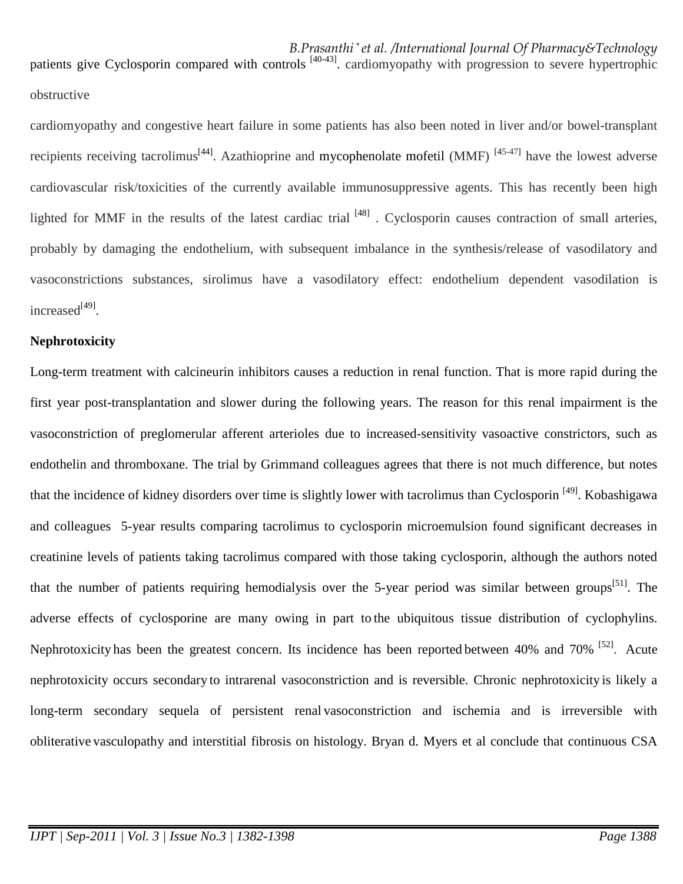*B.Prasanthi \* et al. /International Journal Of Pharmacy&Technology* patients give Cyclosporin compared with controls<sup>[40-43]</sup>. cardiomyopathy with progression to severe hypertrophic obstructive

cardiomyopathy and congestive heart failure in some patients has also been noted in liver and/or bowel-transplant recipients receiving tacrolimus<sup>[44]</sup>. Azathioprine and mycophenolate mofetil (MMF)<sup>[45-47]</sup> have the lowest adverse cardiovascular risk/toxicities of the currently available immunosuppressive agents. This has recently been high lighted for MMF in the results of the latest cardiac trial  $^{[48]}$ . Cyclosporin causes contraction of small arteries, probably by damaging the endothelium, with subsequent imbalance in the synthesis/release of vasodilatory and vasoconstrictions substances, sirolimus have a vasodilatory effect: endothelium dependent vasodilation is increased<sup>[49]</sup>.

#### **Nephrotoxicity**

Long-term treatment with calcineurin inhibitors causes a reduction in renal function. That is more rapid during the first year post-transplantation and slower during the following years. The reason for this renal impairment is the vasoconstriction of preglomerular afferent arterioles due to increased-sensitivity vasoactive constrictors, such as endothelin and thromboxane. The trial by Grimmand colleagues agrees that there is not much difference, but notes that the incidence of kidney disorders over time is slightly lower with tacrolimus than Cyclosporin [49]. Kobashigawa and colleagues 5-year results comparing tacrolimus to cyclosporin microemulsion found significant decreases in creatinine levels of patients taking tacrolimus compared with those taking cyclosporin, although the authors noted that the number of patients requiring hemodialysis over the 5-year period was similar between groups<sup>[51]</sup>. The adverse effects of cyclosporine are many owing in part to the ubiquitous tissue distribution of cyclophylins. Nephrotoxicity has been the greatest concern. Its incidence has been reported between 40% and 70% <sup>[52]</sup>. Acute nephrotoxicity occurs secondary to intrarenal vasoconstriction and is reversible. Chronic nephrotoxicity is likely a long-term secondary sequela of persistent renal vasoconstriction and ischemia and is irreversible with obliterative vasculopathy and interstitial fibrosis on histology. Bryan d. Myers et al conclude that continuous CSA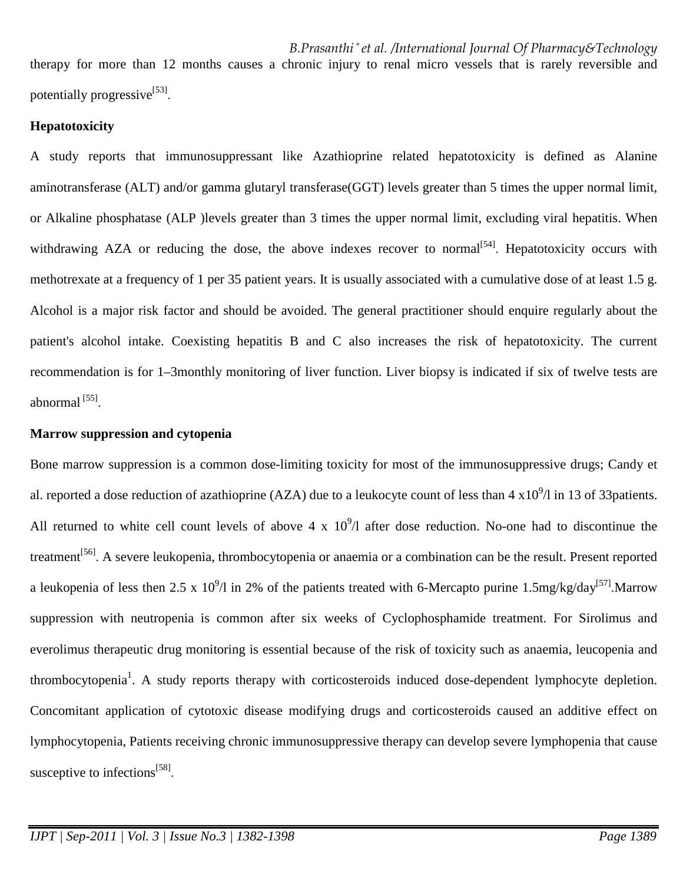*B.Prasanthi \* et al. /International Journal Of Pharmacy&Technology* therapy for more than 12 months causes a chronic injury to renal micro vessels that is rarely reversible and potentially progressive<sup>[53]</sup>.

# **Hepatotoxicity**

A study reports that immunosuppressant like Azathioprine related hepatotoxicity is defined as Alanine aminotransferase (ALT) and/or gamma glutaryl transferase(GGT) levels greater than 5 times the upper normal limit, or Alkaline phosphatase (ALP )levels greater than 3 times the upper normal limit, excluding viral hepatitis. When withdrawing AZA or reducing the dose, the above indexes recover to normal  $[54]$ . Hepatotoxicity occurs with methotrexate at a frequency of 1 per 35 patient years. It is usually associated with a cumulative dose of at least 1.5 g. Alcohol is a major risk factor and should be avoided. The general practitioner should enquire regularly about the patient's alcohol intake. Coexisting hepatitis B and C also increases the risk of hepatotoxicity. The current recommendation is for 1–3monthly monitoring of liver function. Liver biopsy is indicated if six of twelve tests are abnormal<sup>[55]</sup>.

## **Marrow suppression and cytopenia**

Bone marrow suppression is a common dose-limiting toxicity for most of the immunosuppressive drugs; Candy et al. reported a dose reduction of azathioprine (AZA) due to a leukocyte count of less than  $4 \times 10^9/\text{I}$  in 13 of 33patients. All returned to white cell count levels of above 4 x  $10^9/1$  after dose reduction. No-one had to discontinue the treatment<sup>[56]</sup>. A severe leukopenia, thrombocytopenia or anaemia or a combination can be the result. Present reported a leukopenia of less then 2.5 x  $10^9/1$  in 2% of the patients treated with 6-Mercapto purine 1.5mg/kg/day<sup>[57]</sup>.Marrow suppression with neutropenia is common after six weeks of Cyclophosphamide treatment. For Sirolimus and everolimu*s* therapeutic drug monitoring is essential because of the risk of toxicity such as anaemia, leucopenia and thrombocytopenia<sup>1</sup>. A study reports therapy with corticosteroids induced dose-dependent lymphocyte depletion. Concomitant application of cytotoxic disease modifying drugs and corticosteroids caused an additive effect on lymphocytopenia, Patients receiving chronic immunosuppressive therapy can develop severe lymphopenia that cause susceptive to infections<sup>[58]</sup>.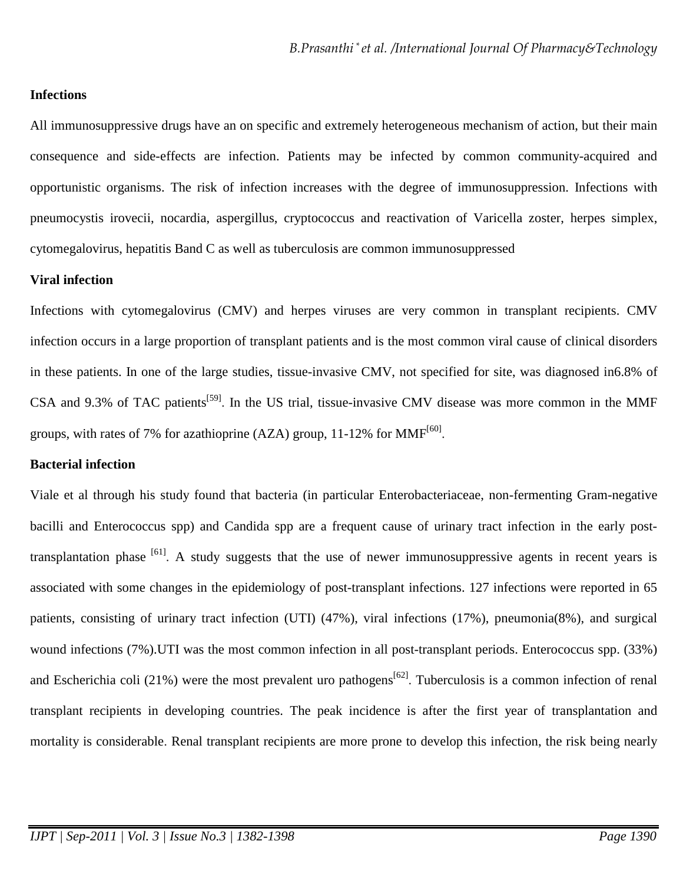## **Infections**

All immunosuppressive drugs have an on specific and extremely heterogeneous mechanism of action, but their main consequence and side-effects are infection. Patients may be infected by common community-acquired and opportunistic organisms. The risk of infection increases with the degree of immunosuppression. Infections with pneumocystis irovecii, nocardia, aspergillus, cryptococcus and reactivation of Varicella zoster, herpes simplex, cytomegalovirus, hepatitis Band C as well as tuberculosis are common immunosuppressed

#### **Viral infection**

Infections with cytomegalovirus (CMV) and herpes viruses are very common in transplant recipients. CMV infection occurs in a large proportion of transplant patients and is the most common viral cause of clinical disorders in these patients. In one of the large studies, tissue-invasive CMV, not specified for site, was diagnosed in6.8% of CSA and 9.3% of TAC patients<sup>[59]</sup>. In the US trial, tissue-invasive CMV disease was more common in the MMF groups, with rates of 7% for azathioprine (AZA) group, 11-12% for MMF<sup>[60]</sup>.

# **Bacterial infection**

Viale et al through his study found that bacteria (in particular Enterobacteriaceae, non-fermenting Gram-negative bacilli and Enterococcus spp) and Candida spp are a frequent cause of urinary tract infection in the early posttransplantation phase <sup>[61]</sup>. A study suggests that the use of newer immunosuppressive agents in recent years is associated with some changes in the epidemiology of post-transplant infections. 127 infections were reported in 65 patients, consisting of urinary tract infection (UTI) (47%), viral infections (17%), pneumonia(8%), and surgical wound infections (7%).UTI was the most common infection in all post-transplant periods. Enterococcus spp. (33%) and Escherichia coli (21%) were the most prevalent uro pathogens<sup>[62]</sup>. Tuberculosis is a common infection of renal transplant recipients in developing countries. The peak incidence is after the first year of transplantation and mortality is considerable. Renal transplant recipients are more prone to develop this infection, the risk being nearly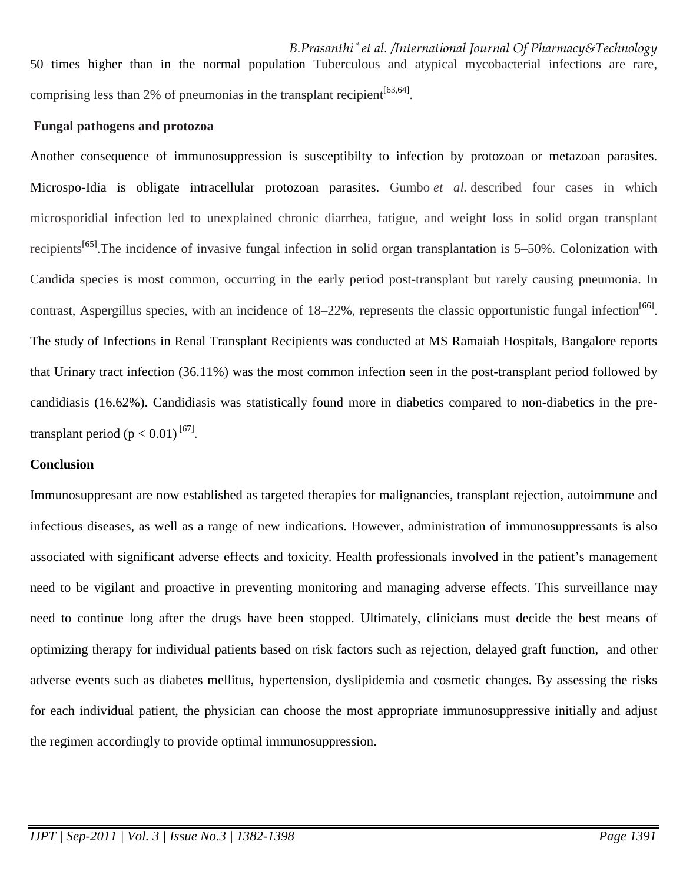*B.Prasanthi \* et al. /International Journal Of Pharmacy&Technology* 50 times higher than in the normal population Tuberculous and atypical mycobacterial infections are rare, comprising less than 2% of pneumonias in the transplant recipient  $[63, 64]$ .

## **Fungal pathogens and protozoa**

Another consequence of immunosuppression is susceptibilty to infection by protozoan or metazoan parasites. Microspo-Idia is obligate intracellular protozoan parasites. Gumbo *et al.* described four cases in which microsporidial infection led to unexplained chronic diarrhea, fatigue, and weight loss in solid organ transplant recipients<sup>[65]</sup>. The incidence of invasive fungal infection in solid organ transplantation is 5–50%. Colonization with Candida species is most common, occurring in the early period post-transplant but rarely causing pneumonia. In contrast, Aspergillus species, with an incidence of 18–22%, represents the classic opportunistic fungal infection<sup>[66]</sup>. The study of Infections in Renal Transplant Recipients was conducted at MS Ramaiah Hospitals, Bangalore reports that Urinary tract infection (36.11%) was the most common infection seen in the post-transplant period followed by candidiasis (16.62%). Candidiasis was statistically found more in diabetics compared to non-diabetics in the pretransplant period  $(p < 0.01)^{\lfloor 67 \rfloor}$ .

# **Conclusion**

Immunosuppresant are now established as targeted therapies for malignancies, transplant rejection, autoimmune and infectious diseases, as well as a range of new indications. However, administration of immunosuppressants is also associated with significant adverse effects and toxicity. Health professionals involved in the patient's management need to be vigilant and proactive in preventing monitoring and managing adverse effects. This surveillance may need to continue long after the drugs have been stopped. Ultimately, clinicians must decide the best means of optimizing therapy for individual patients based on risk factors such as rejection, delayed graft function, and other adverse events such as diabetes mellitus, hypertension, dyslipidemia and cosmetic changes. By assessing the risks for each individual patient, the physician can choose the most appropriate immunosuppressive initially and adjust the regimen accordingly to provide optimal immunosuppression.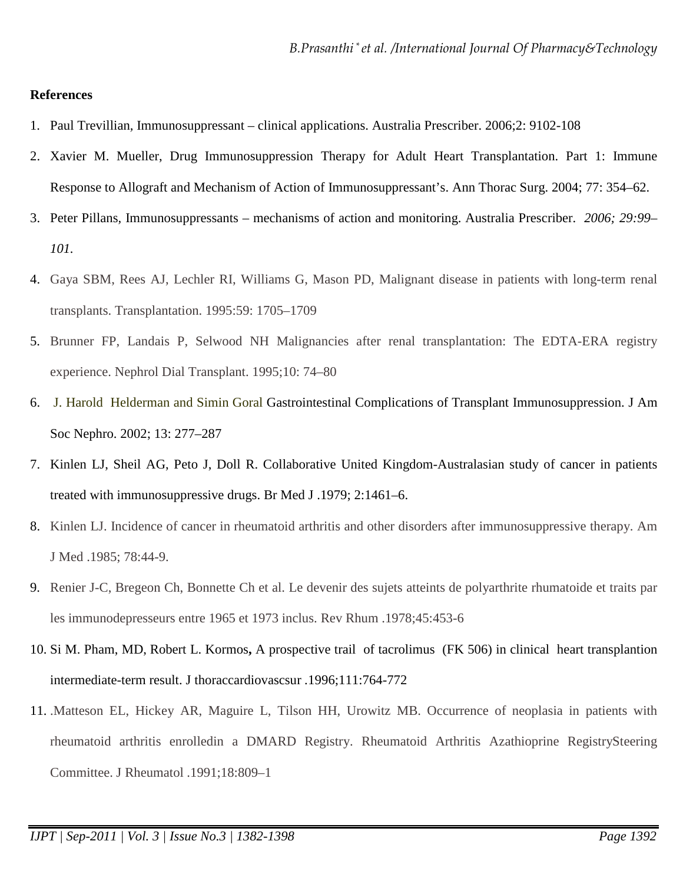#### **References**

- 1. Paul Trevillian*,* Immunosuppressant clinical applications. Australia Prescriber. 2006;2: 9102-108
- 2. Xavier M. Mueller, Drug Immunosuppression Therapy for Adult Heart Transplantation. Part 1: Immune Response to Allograft and Mechanism of Action of Immunosuppressant's. Ann Thorac Surg. 2004; 77: 354–62.
- 3. Peter Pillans*,* Immunosuppressants mechanisms of action and monitoring. Australia Prescriber. *2006; 29:99– 101.*
- 4. Gaya SBM, Rees AJ, Lechler RI, Williams G, Mason PD, Malignant disease in patients with long-term renal transplants. Transplantation. 1995:59: 1705–1709
- 5. Brunner FP, Landais P, Selwood NH Malignancies after renal transplantation: The EDTA-ERA registry experience. Nephrol Dial Transplant. 1995;10: 74–80
- 6. J. Harold Helderman and Simin Goral Gastrointestinal Complications of Transplant Immunosuppression. J Am Soc Nephro. 2002; 13: 277–287
- 7. Kinlen LJ, Sheil AG, Peto J, Doll R. Collaborative United Kingdom-Australasian study of cancer in patients treated with immunosuppressive drugs. Br Med J .1979; 2:1461–6.
- 8. Kinlen LJ. Incidence of cancer in rheumatoid arthritis and other disorders after immunosuppressive therapy. Am J Med .1985; 78:44-9.
- 9. Renier J-C, Bregeon Ch, Bonnette Ch et al. Le devenir des sujets atteints de polyarthrite rhumatoide et traits par les immunodepresseurs entre 1965 et 1973 inclus. Rev Rhum .1978;45:453-6
- 10. Si M. Pham, MD, Robert L. Kormos**,** A prospective trail of tacrolimus (FK 506) in clinical heart transplantion intermediate-term result. J thoraccardiovascsur *.*1996;111:764-772
- 11. .Matteson EL, Hickey AR, Maguire L, Tilson HH, Urowitz MB. Occurrence of neoplasia in patients with rheumatoid arthritis enrolledin a DMARD Registry. Rheumatoid Arthritis Azathioprine RegistrySteering Committee. J Rheumatol .1991;18:809–1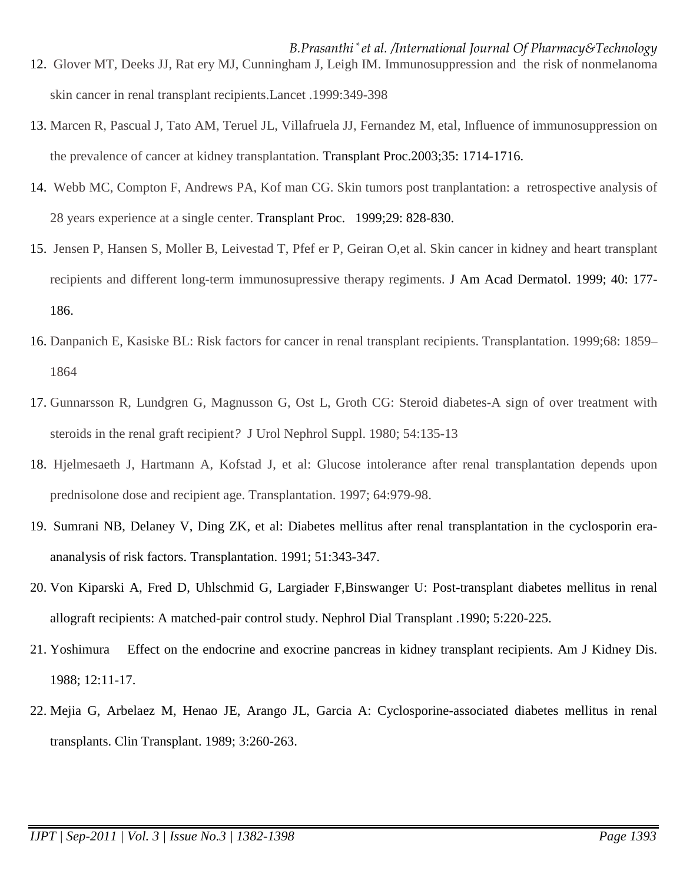- *B.Prasanthi \* et al. /International Journal Of Pharmacy&Technology* 12. Glover MT, Deeks JJ, Rat ery MJ, Cunningham J, Leigh IM. Immunosuppression and the risk of nonmelanoma skin cancer in renal transplant recipients.Lancet .1999:349-398
- 13. Marcen R, Pascual J, Tato AM, Teruel JL, Villafruela JJ, Fernandez M, etal, Influence of immunosuppression on the prevalence of cancer at kidney transplantation*.* Transplant Proc.2003;35: 1714-1716.
- 14. Webb MC, Compton F, Andrews PA, Kof man CG. Skin tumors post tranplantation: a retrospective analysis of 28 years experience at a single center. Transplant Proc. 1999;29: 828-830.
- 15. Jensen P, Hansen S, Moller B, Leivestad T, Pfef er P, Geiran O,et al. Skin cancer in kidney and heart transplant recipients and different long-term immunosupressive therapy regiments. J Am Acad Dermatol. 1999; 40: 177- 186.
- 16. Danpanich E, Kasiske BL: Risk factors for cancer in renal transplant recipients. Transplantation. 1999;68: 1859– 1864
- 17. Gunnarsson R, Lundgren G, Magnusson G, Ost L, Groth CG: Steroid diabetes-A sign of over treatment with steroids in the renal graft recipient*?* J Urol Nephrol Suppl. 1980; 54:135-13
- 18. Hjelmesaeth J, Hartmann A, Kofstad J, et al: Glucose intolerance after renal transplantation depends upon prednisolone dose and recipient age. Transplantation. 1997; 64:979-98.
- 19. Sumrani NB, Delaney V, Ding ZK, et al: Diabetes mellitus after renal transplantation in the cyclosporin eraananalysis of risk factors. Transplantation. 1991; 51:343-347.
- 20. Von Kiparski A, Fred D, Uhlschmid G, Largiader F,Binswanger U: Post-transplant diabetes mellitus in renal allograft recipients: A matched-pair control study. Nephrol Dial Transplant .1990; 5:220-225.
- 21. Yoshimura Effect on the endocrine and exocrine pancreas in kidney transplant recipients. Am J Kidney Dis. 1988; 12:11-17.
- 22. Mejia G, Arbelaez M, Henao JE, Arango JL, Garcia A: Cyclosporine-associated diabetes mellitus in renal transplants. Clin Transplant. 1989; 3:260-263.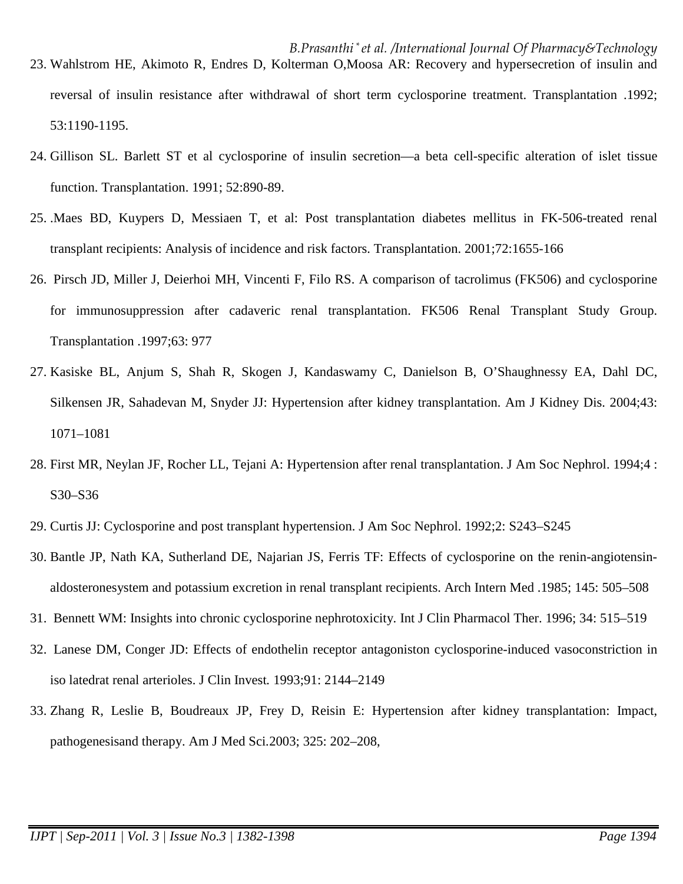- *B.Prasanthi \* et al. /International Journal Of Pharmacy&Technology* 23. Wahlstrom HE, Akimoto R, Endres D, Kolterman O,Moosa AR: Recovery and hypersecretion of insulin and reversal of insulin resistance after withdrawal of short term cyclosporine treatment. Transplantation .1992; 53:1190-1195.
- 24. Gillison SL. Barlett ST et al cyclosporine of insulin secretion—a beta cell-specific alteration of islet tissue function. Transplantation. 1991; 52:890-89.
- 25. .Maes BD, Kuypers D, Messiaen T, et al: Post transplantation diabetes mellitus in FK-506-treated renal transplant recipients: Analysis of incidence and risk factors. Transplantation. 2001;72:1655-166
- 26. Pirsch JD, Miller J, Deierhoi MH, Vincenti F, Filo RS. A comparison of tacrolimus (FK506) and cyclosporine for immunosuppression after cadaveric renal transplantation. FK506 Renal Transplant Study Group. Transplantation .1997;63: 977
- 27. Kasiske BL, Anjum S, Shah R, Skogen J, Kandaswamy C, Danielson B, O'Shaughnessy EA, Dahl DC, Silkensen JR, Sahadevan M, Snyder JJ: Hypertension after kidney transplantation. Am J Kidney Dis. 2004;43: 1071–1081
- 28. First MR, Neylan JF, Rocher LL, Tejani A: Hypertension after renal transplantation. J Am Soc Nephrol. 1994;4 : S30–S36
- 29. Curtis JJ: Cyclosporine and post transplant hypertension. J Am Soc Nephrol. 1992;2: S243–S245
- 30. Bantle JP, Nath KA, Sutherland DE, Najarian JS, Ferris TF: Effects of cyclosporine on the renin-angiotensinaldosteronesystem and potassium excretion in renal transplant recipients. Arch Intern Med .1985; 145: 505–508
- 31. Bennett WM: Insights into chronic cyclosporine nephrotoxicity. Int J Clin Pharmacol Ther. 1996; 34: 515–519
- 32. Lanese DM, Conger JD: Effects of endothelin receptor antagoniston cyclosporine-induced vasoconstriction in iso latedrat renal arterioles. J Clin Invest*.* 1993;91: 2144–2149
- 33. Zhang R, Leslie B, Boudreaux JP, Frey D, Reisin E: Hypertension after kidney transplantation: Impact, pathogenesisand therapy. Am J Med Sci*.*2003; 325: 202–208,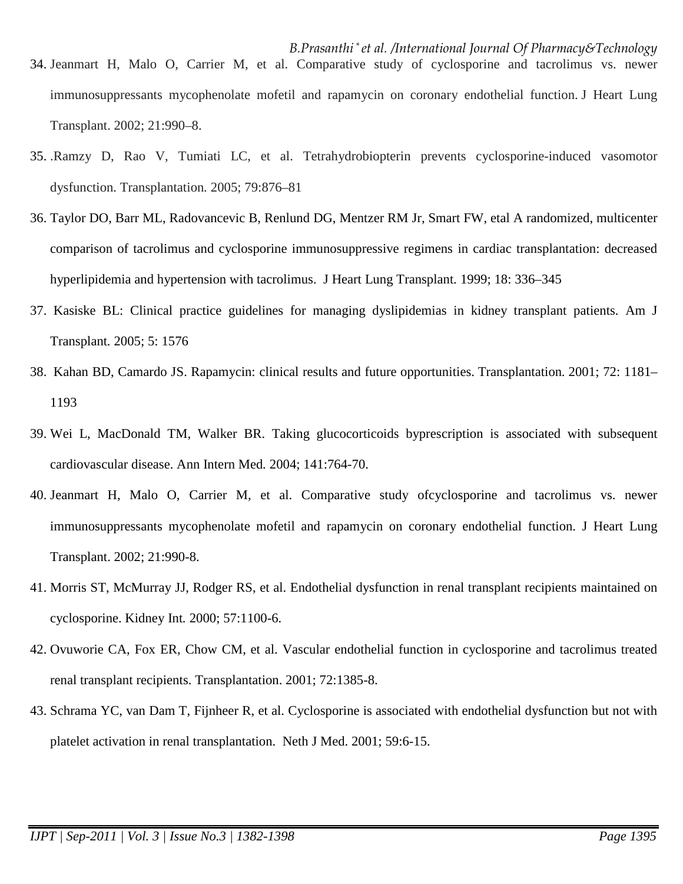- *B.Prasanthi \* et al. /International Journal Of Pharmacy&Technology* 34. Jeanmart H, Malo O, Carrier M, et al. Comparative study of cyclosporine and tacrolimus vs. newer immunosuppressants mycophenolate mofetil and rapamycin on coronary endothelial function. J Heart Lung Transplant. 2002; 21:990–8.
- 35. .Ramzy D, Rao V, Tumiati LC, et al. Tetrahydrobiopterin prevents cyclosporine-induced vasomotor dysfunction. Transplantation*.* 2005; 79:876–81
- 36. Taylor DO, Barr ML, Radovancevic B, Renlund DG, Mentzer RM Jr, Smart FW, etal A randomized, multicenter comparison of tacrolimus and cyclosporine immunosuppressive regimens in cardiac transplantation: decreased hyperlipidemia and hypertension with tacrolimus. J Heart Lung Transplant*.* 1999; 18: 336–345
- 37. Kasiske BL: Clinical practice guidelines for managing dyslipidemias in kidney transplant patients. Am J Transplant*.* 2005; 5: 1576
- 38. Kahan BD, Camardo JS. Rapamycin: clinical results and future opportunities. Transplantation*.* 2001; 72: 1181– 1193
- 39. Wei L, MacDonald TM, Walker BR. Taking glucocorticoids byprescription is associated with subsequent cardiovascular disease. Ann Intern Med*.* 2004; 141:764-70.
- 40. Jeanmart H, Malo O, Carrier M, et al. Comparative study ofcyclosporine and tacrolimus vs. newer immunosuppressants mycophenolate mofetil and rapamycin on coronary endothelial function. J Heart Lung Transplant. 2002; 21:990-8.
- 41. Morris ST, McMurray JJ, Rodger RS, et al. Endothelial dysfunction in renal transplant recipients maintained on cyclosporine. Kidney Int*.* 2000; 57:1100-6.
- 42. Ovuworie CA, Fox ER, Chow CM, et al. Vascular endothelial function in cyclosporine and tacrolimus treated renal transplant recipients. Transplantation. 2001; 72:1385-8.
- 43. Schrama YC, van Dam T, Fijnheer R, et al. Cyclosporine is associated with endothelial dysfunction but not with platelet activation in renal transplantation. Neth J Med. 2001; 59:6-15.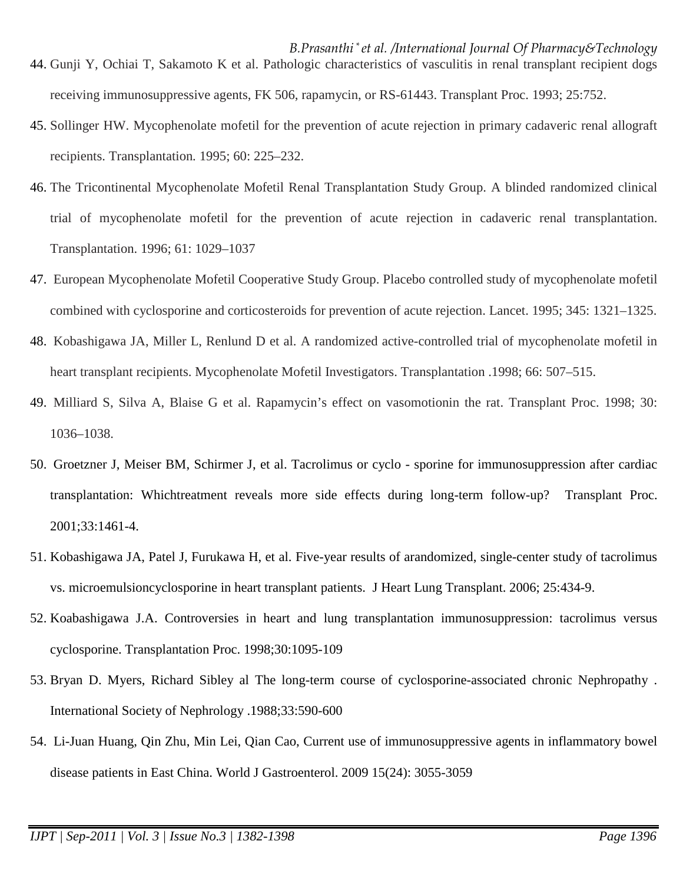- *B.Prasanthi \* et al. /International Journal Of Pharmacy&Technology* 44. Gunji Y, Ochiai T, Sakamoto K et al. Pathologic characteristics of vasculitis in renal transplant recipient dogs receiving immunosuppressive agents, FK 506, rapamycin, or RS-61443. Transplant Proc. 1993; 25:752.
- 45. Sollinger HW. Mycophenolate mofetil for the prevention of acute rejection in primary cadaveric renal allograft recipients. Transplantation*.* 1995; 60: 225–232.
- 46. The Tricontinental Mycophenolate Mofetil Renal Transplantation Study Group. A blinded randomized clinical trial of mycophenolate mofetil for the prevention of acute rejection in cadaveric renal transplantation. Transplantation. 1996; 61: 1029–1037
- 47. European Mycophenolate Mofetil Cooperative Study Group. Placebo controlled study of mycophenolate mofetil combined with cyclosporine and corticosteroids for prevention of acute rejection. Lancet. 1995; 345: 1321–1325.
- 48. Kobashigawa JA, Miller L, Renlund D et al. A randomized active-controlled trial of mycophenolate mofetil in heart transplant recipients. Mycophenolate Mofetil Investigators. Transplantation .1998; 66: 507–515.
- 49. Milliard S, Silva A, Blaise G et al. Rapamycin's effect on vasomotionin the rat. Transplant Proc. 1998; 30: 1036–1038.
- 50. Groetzner J, Meiser BM, Schirmer J, et al. Tacrolimus or cyclo sporine for immunosuppression after cardiac transplantation: Whichtreatment reveals more side effects during long-term follow-up? Transplant Proc. 2001;33:1461-4.
- 51. Kobashigawa JA, Patel J, Furukawa H, et al. Five-year results of arandomized, single-center study of tacrolimus vs. microemulsioncyclosporine in heart transplant patients. J Heart Lung Transplant. 2006; 25:434-9.
- 52. Koabashigawa J.A. Controversies in heart and lung transplantation immunosuppression: tacrolimus versus cyclosporine. Transplantation Proc. 1998;30:1095-109
- 53. Bryan D. Myers, Richard Sibley al The long-term course of cyclosporine-associated chronic Nephropathy . International Society of Nephrology .1988;33:590-600
- 54. Li-Juan Huang, Qin Zhu, Min Lei, Qian Cao, Current use of immunosuppressive agents in inflammatory bowel disease patients in East China. World J Gastroenterol. 2009 15(24): 3055-3059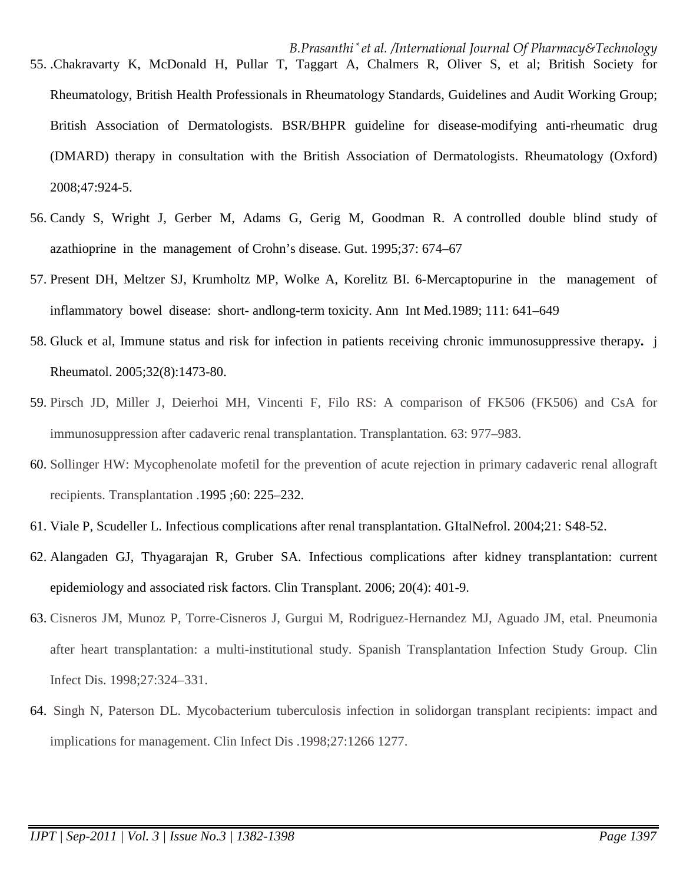- *B.Prasanthi \* et al. /International Journal Of Pharmacy&Technology* 55. .Chakravarty K, McDonald H, Pullar T, Taggart A, Chalmers R, Oliver S, et al; British Society for Rheumatology, British Health Professionals in Rheumatology Standards, Guidelines and Audit Working Group; British Association of Dermatologists. BSR/BHPR guideline for disease-modifying anti-rheumatic drug (DMARD) therapy in consultation with the British Association of Dermatologists. Rheumatology (Oxford) 2008;47:924-5.
- 56. Candy S, Wright J, Gerber M, Adams G, Gerig M, Goodman R. A controlled double blind study of azathioprine in the management of Crohn's disease. Gut. 1995;37: 674–67
- 57. Present DH, Meltzer SJ, Krumholtz MP, Wolke A, Korelitz BI. 6-Mercaptopurine in the management of inflammatory bowel disease: short- andlong-term toxicity. Ann Int Med.1989; 111: 641–649
- 58. Gluck et al, Immune status and risk for infection in patients receiving chronic immunosuppressive therapy**.** j Rheumatol. 2005;32(8):1473-80.
- 59. Pirsch JD, Miller J, Deierhoi MH, Vincenti F, Filo RS: A comparison of FK506 (FK506) and CsA for immunosuppression after cadaveric renal transplantation. Transplantation*.* 63: 977–983.
- 60. Sollinger HW: Mycophenolate mofetil for the prevention of acute rejection in primary cadaveric renal allograft recipients. Transplantation .1995 ;60: 225–232.
- 61. Viale P, Scudeller L. Infectious complications after renal transplantation. GItalNefrol. 2004;21: S48-52.
- 62. Alangaden GJ, Thyagarajan R, Gruber SA. Infectious complications after kidney transplantation: current epidemiology and associated risk factors. Clin Transplant. 2006; 20(4): 401-9.
- 63. Cisneros JM, Munoz P, Torre-Cisneros J, Gurgui M, Rodriguez-Hernandez MJ, Aguado JM, etal. Pneumonia after heart transplantation: a multi-institutional study. Spanish Transplantation Infection Study Group. Clin Infect Dis. 1998;27:324–331.
- 64. Singh N, Paterson DL. Mycobacterium tuberculosis infection in solidorgan transplant recipients: impact and implications for management. Clin Infect Dis .1998;27:1266 1277.